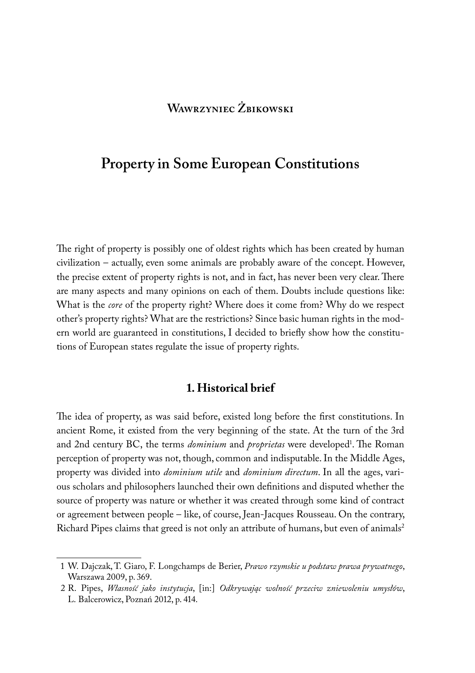# **Wawrzyniec Żbikowski**

# **Property in Some European Constitutions**

The right of property is possibly one of oldest rights which has been created by human civilization – actually, even some animals are probably aware of the concept. However, the precise extent of property rights is not, and in fact, has never been very clear. There are many aspects and many opinions on each of them. Doubts include questions like: What is the *core* of the property right? Where does it come from? Why do we respect other's property rights? What are the restrictions? Since basic human rights in the modern world are guaranteed in constitutions, I decided to briefly show how the constitutions of European states regulate the issue of property rights.

### **1. Historical brief**

The idea of property, as was said before, existed long before the first constitutions. In ancient Rome, it existed from the very beginning of the state. At the turn of the 3rd and 2nd century BC, the terms *dominium* and *proprietas* were developed<sup>1</sup>. The Roman perception of property was not, though, common and indisputable. In the Middle Ages, property was divided into *dominium utile* and *dominium directum*. In all the ages, various scholars and philosophers launched their own definitions and disputed whether the source of property was nature or whether it was created through some kind of contract or agreement between people – like, of course, Jean-Jacques Rousseau. On the contrary, Richard Pipes claims that greed is not only an attribute of humans, but even of animals<sup>2</sup>

<sup>1</sup> W. Dajczak, T. Giaro, F. Longchamps de Berier, *Prawo rzymskie u podstaw prawa prywatnego*, Warszawa 2009, p. 369.

<sup>2</sup> R. Pipes, *Własność jako instytucja*, [in:] *Odkrywając wolność przeciw zniewoleniu umysłów*, L. Balcerowicz, Poznań 2012, p. 414.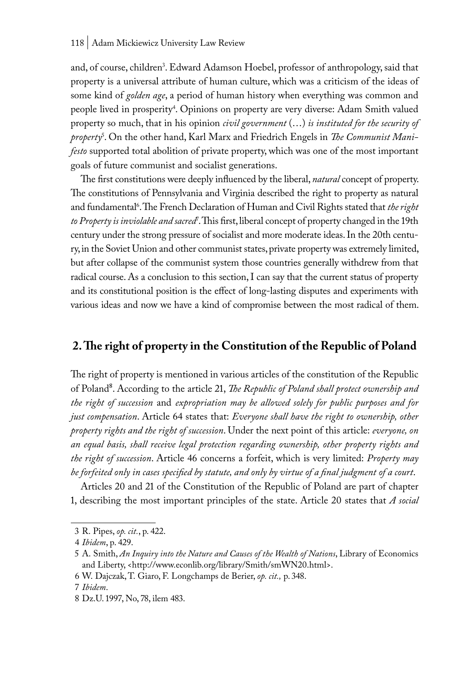and, of course, children<sup>3</sup>. Edward Adamson Hoebel, professor of anthropology, said that property is a universal attribute of human culture, which was a criticism of the ideas of some kind of *golden age*, a period of human history when everything was common and people lived in prosperity<sup>4</sup>. Opinions on property are very diverse: Adam Smith valued property so much, that in his opinion *civil government* (…) *is instituted for the security of property*<sup>5</sup> . On the other hand, Karl Marx and Friedrich Engels in *The Communist Manifesto* supported total abolition of private property, which was one of the most important goals of future communist and socialist generations.

The first constitutions were deeply influenced by the liberal, *natural* concept of property. The constitutions of Pennsylvania and Virginia described the right to property as natural and fundamental6 . The French Declaration of Human and Civil Rights stated that *the right*  to Property is inviolable and sacred'. This first, liberal concept of property changed in the 19th century under the strong pressure of socialist and more moderate ideas. In the 20th century, in the Soviet Union and other communist states, private property was extremely limited, but after collapse of the communist system those countries generally withdrew from that radical course. As a conclusion to this section, I can say that the current status of property and its constitutional position is the effect of long-lasting disputes and experiments with various ideas and now we have a kind of compromise between the most radical of them.

## **2. The right of property in the Constitution of the Republic of Poland**

The right of property is mentioned in various articles of the constitution of the Republic of Poland8. According to the article 21, *The Republic of Poland shall protect ownership and the right of succession* and *expropriation may be allowed solely for public purposes and for just compensation*. Article 64 states that: *Everyone shall have the right to ownership, other property rights and the right of succession*. Under the next point of this article: *everyone, on an equal basis, shall receive legal protection regarding ownership, other property rights and the right of succession*. Article 46 concerns a forfeit, which is very limited: *Property may be forfeited only in cases specified by statute, and only by virtue of a final judgment of a court*.

Articles 20 and 21 of the Constitution of the Republic of Poland are part of chapter 1, describing the most important principles of the state. Article 20 states that *A social* 

6 W. Dajczak, T. Giaro, F. Longchamps de Berier, *op. cit.,* p. 348.

<sup>3</sup> R. Pipes, *op. cit.*, p. 422.

<sup>4</sup> *Ibidem*, p. 429.

<sup>5</sup> A. Smith, *An Inquiry into the Nature and Causes of the Wealth of Nations*, Library of Economics and Liberty, <http://www.econlib.org/library/Smith/smWN20.html>.

<sup>7</sup> *Ibidem*.

<sup>8</sup> Dz.U. 1997, No, 78, ilem 483.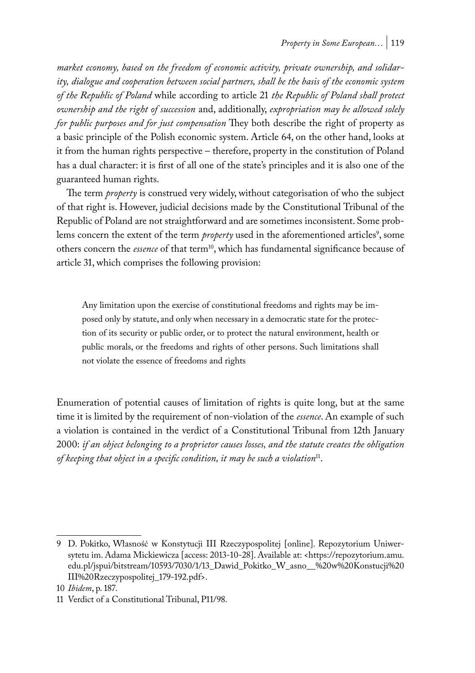*market economy, based on the freedom of economic activity, private ownership, and solidarity, dialogue and cooperation between social partners, shall be the basis of the economic system of the Republic of Poland* while according to article 21 *the Republic of Poland shall protect ownership and the right of succession* and, additionally, *expropriation may be allowed solely for public purposes and for just compensation* They both describe the right of property as a basic principle of the Polish economic system. Article 64, on the other hand, looks at it from the human rights perspective – therefore, property in the constitution of Poland has a dual character: it is first of all one of the state's principles and it is also one of the guaranteed human rights.

The term *property* is construed very widely, without categorisation of who the subject of that right is. However, judicial decisions made by the Constitutional Tribunal of the Republic of Poland are not straightforward and are sometimes inconsistent. Some problems concern the extent of the term *property* used in the aforementioned articles<sup>9</sup>, some others concern the *essence* of that term<sup>10</sup>, which has fundamental significance because of article 31, which comprises the following provision:

Any limitation upon the exercise of constitutional freedoms and rights may be imposed only by statute, and only when necessary in a democratic state for the protection of its security or public order, or to protect the natural environment, health or public morals, or the freedoms and rights of other persons. Such limitations shall not violate the essence of freedoms and rights

Enumeration of potential causes of limitation of rights is quite long, but at the same time it is limited by the requirement of non-violation of the *essence*. An example of such a violation is contained in the verdict of a Constitutional Tribunal from 12th January 2000: *if an object belonging to a proprietor causes losses, and the statute creates the obligation of keeping that object in a specific condition, it may be such a violation*11.

<sup>9</sup> D. Pokitko, Własność w Konstytucji III Rzeczypospolitej [online]. Repozytorium Uniwersytetu im. Adama Mickiewicza [access: 2013-10-28]. Available at: <https://repozytorium.amu. edu.pl/jspui/bitstream/10593/7030/1/13\_Dawid\_Pokitko\_W\_asno\_\_%20w%20Konstucji%20 III%20Rzeczypospolitej\_179-192.pdf>.

<sup>10</sup> *Ibidem*, p. 187.

<sup>11</sup> Verdict of a Constitutional Tribunal, P11/98.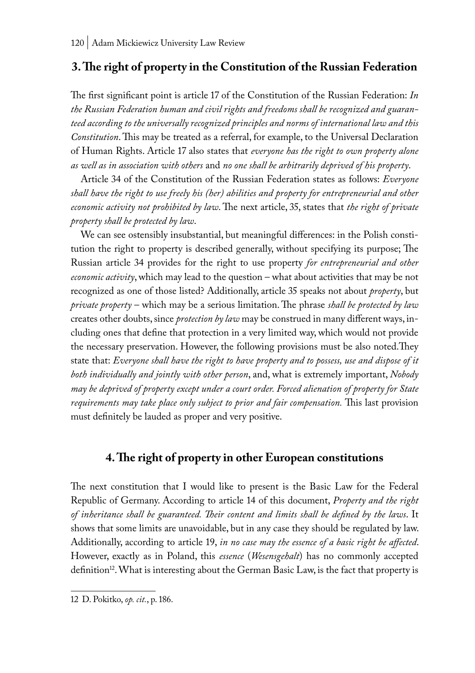## **3. The right of property in the Constitution of the Russian Federation**

The first significant point is article 17 of the Constitution of the Russian Federation: *In the Russian Federation human and civil rights and freedoms shall be recognized and guaranteed according to the universally recognized principles and norms of international law and this Constitution*. This may be treated as a referral, for example, to the Universal Declaration of Human Rights. Article 17 also states that *everyone has the right to own property alone as well as in association with others* and *no one shall be arbitrarily deprived of his property*.

Article 34 of the Constitution of the Russian Federation states as follows: *Everyone shall have the right to use freely his (her) abilities and property for entrepreneurial and other economic activity not prohibited by law*. The next article, 35, states that *the right of private property shall be protected by law*.

We can see ostensibly insubstantial, but meaningful differences: in the Polish constitution the right to property is described generally, without specifying its purpose; The Russian article 34 provides for the right to use property *for entrepreneurial and other economic activity*, which may lead to the question – what about activities that may be not recognized as one of those listed? Additionally, article 35 speaks not about *property*, but *private property* – which may be a serious limitation. The phrase *shall be protected by law* creates other doubts, since *protection by law* may be construed in many different ways, including ones that define that protection in a very limited way, which would not provide the necessary preservation. However, the following provisions must be also noted.They state that: *Everyone shall have the right to have property and to possess, use and dispose of it both individually and jointly with other person*, and, what is extremely important, *Nobody may be deprived of property except under a court order. Forced alienation of property for State requirements may take place only subject to prior and fair compensation.* This last provision must definitely be lauded as proper and very positive.

### **4. The right of property in other European constitutions**

The next constitution that I would like to present is the Basic Law for the Federal Republic of Germany. According to article 14 of this document, *Property and the right of inheritance shall be guaranteed. Their content and limits shall be defined by the laws*. It shows that some limits are unavoidable, but in any case they should be regulated by law. Additionally, according to article 19, *in no case may the essence of a basic right be affected*. However, exactly as in Poland, this *essence* (*Wesensgehalt*) has no commonly accepted definition<sup>12</sup>. What is interesting about the German Basic Law, is the fact that property is

<sup>12</sup> D. Pokitko, *op. cit.*, p. 186.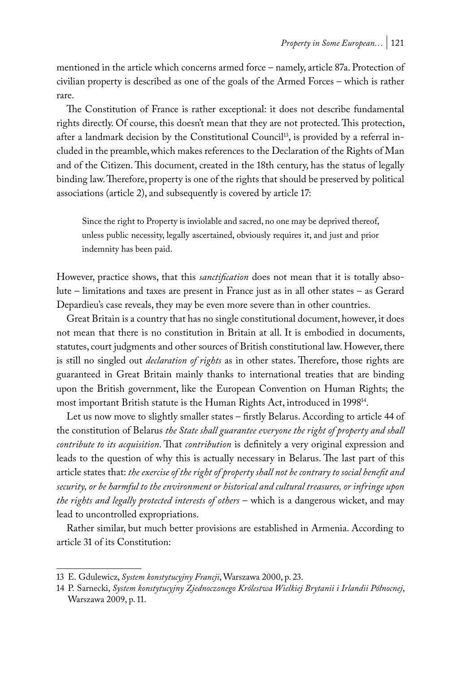mentioned in the article which concerns armed force – namely, article 87a. Protection of civilian property is described as one of the goals of the Armed Forces – which is rather rare.

The Constitution of France is rather exceptional: it does not describe fundamental rights directly. Of course, this doesn't mean that they are not protected. This protection, after a landmark decision by the Constitutional Council<sup>13</sup>, is provided by a referral included in the preamble, which makes references to the Declaration of the Rights of Man and of the Citizen. This document, created in the 18th century, has the status of legally binding law. Therefore, property is one of the rights that should be preserved by political associations (article 2), and subsequently is covered by article 17:

Since the right to Property is inviolable and sacred, no one may be deprived thereof, unless public necessity, legally ascertained, obviously requires it, and just and prior indemnity has been paid.

However, practice shows, that this *sanctification* does not mean that it is totally absolute – limitations and taxes are present in France just as in all other states – as Gerard Depardieu's case reveals, they may be even more severe than in other countries.

Great Britain is a country that has no single constitutional document, however, it does not mean that there is no constitution in Britain at all. It is embodied in documents, statutes, court judgments and other sources of British constitutional law. However, there is still no singled out *declaration of rights* as in other states. Therefore, those rights are guaranteed in Great Britain mainly thanks to international treaties that are binding upon the British government, like the European Convention on Human Rights; the most important British statute is the Human Rights Act, introduced in 199814.

Let us now move to slightly smaller states – firstly Belarus. According to article 44 of the constitution of Belarus *the State shall guarantee everyone the right of property and shall contribute to its acquisition*. That *contribution* is definitely a very original expression and leads to the question of why this is actually necessary in Belarus. The last part of this article states that: *the exercise of the right of property shall not be contrary to social benefit and security, or be harmful to the environment or historical and cultural treasures, or infringe upon the rights and legally protected interests of others* – which is a dangerous wicket, and may lead to uncontrolled expropriations.

Rather similar, but much better provisions are established in Armenia. According to article 31 of its Constitution:

<sup>13</sup> E. Gdulewicz, *System konstytucyjny Francji*, Warszawa 2000, p. 23.

<sup>14</sup> P. Sarnecki, *System konstytucyjny Zjednoczonego Królestwa Wielkiej Brytanii i Irlandii Północnej*, Warszawa 2009, p. 11.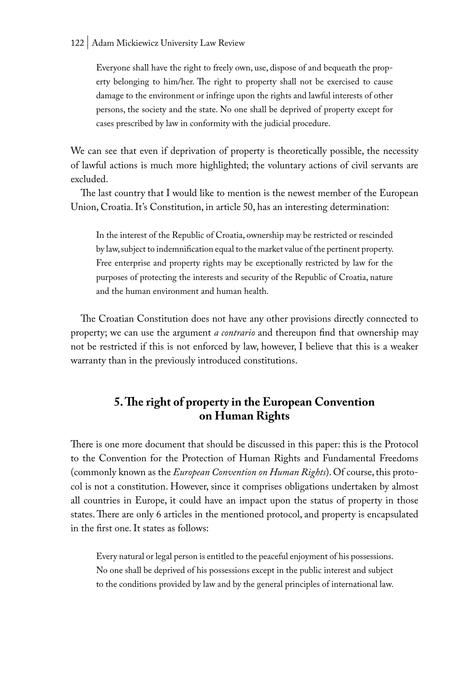Everyone shall have the right to freely own, use, dispose of and bequeath the property belonging to him/her. The right to property shall not be exercised to cause damage to the environment or infringe upon the rights and lawful interests of other persons, the society and the state. No one shall be deprived of property except for cases prescribed by law in conformity with the judicial procedure.

We can see that even if deprivation of property is theoretically possible, the necessity of lawful actions is much more highlighted; the voluntary actions of civil servants are excluded.

The last country that I would like to mention is the newest member of the European Union, Croatia. It's Constitution, in article 50, has an interesting determination:

In the interest of the Republic of Croatia, ownership may be restricted or rescinded by law, subject to indemnification equal to the market value of the pertinent property. Free enterprise and property rights may be exceptionally restricted by law for the purposes of protecting the interests and security of the Republic of Croatia, nature and the human environment and human health.

The Croatian Constitution does not have any other provisions directly connected to property; we can use the argument *a contrario* and thereupon find that ownership may not be restricted if this is not enforced by law, however, I believe that this is a weaker warranty than in the previously introduced constitutions.

### **5. The right of property in the European Convention on Human Rights**

There is one more document that should be discussed in this paper: this is the Protocol to the Convention for the Protection of Human Rights and Fundamental Freedoms (commonly known as the *European Convention on Human Rights*). Of course, this protocol is not a constitution. However, since it comprises obligations undertaken by almost all countries in Europe, it could have an impact upon the status of property in those states. There are only 6 articles in the mentioned protocol, and property is encapsulated in the first one. It states as follows:

Every natural or legal person is entitled to the peaceful enjoyment of his possessions. No one shall be deprived of his possessions except in the public interest and subject to the conditions provided by law and by the general principles of international law.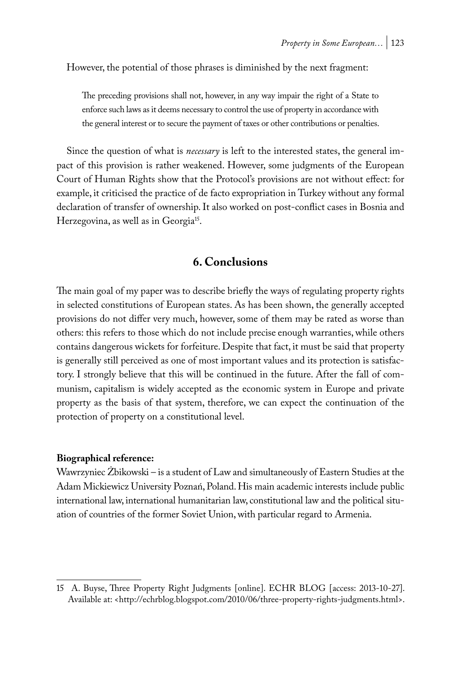However, the potential of those phrases is diminished by the next fragment:

The preceding provisions shall not, however, in any way impair the right of a State to enforce such laws as it deems necessary to control the use of property in accordance with the general interest or to secure the payment of taxes or other contributions or penalties.

Since the question of what is *necessary* is left to the interested states, the general impact of this provision is rather weakened. However, some judgments of the European Court of Human Rights show that the Protocol's provisions are not without effect: for example, it criticised the practice of de facto expropriation in Turkey without any formal declaration of transfer of ownership. It also worked on post-conflict cases in Bosnia and Herzegovina, as well as in Georgia<sup>15</sup>.

### **6. Conclusions**

The main goal of my paper was to describe briefly the ways of regulating property rights in selected constitutions of European states. As has been shown, the generally accepted provisions do not differ very much, however, some of them may be rated as worse than others: this refers to those which do not include precise enough warranties, while others contains dangerous wickets for forfeiture. Despite that fact, it must be said that property is generally still perceived as one of most important values and its protection is satisfactory. I strongly believe that this will be continued in the future. After the fall of communism, capitalism is widely accepted as the economic system in Europe and private property as the basis of that system, therefore, we can expect the continuation of the protection of property on a constitutional level.

#### **Biographical reference:**

Wawrzyniec Żbikowski – is a student of Law and simultaneously of Eastern Studies at the Adam Mickiewicz University Poznań, Poland. His main academic interests include public international law, international humanitarian law, constitutional law and the political situation of countries of the former Soviet Union, with particular regard to Armenia.

<sup>15</sup> A. Buyse, Three Property Right Judgments [online]. ECHR BLOG [access: 2013-10-27]. Available at: <http://echrblog.blogspot.com/2010/06/three-property-rights-judgments.html>.